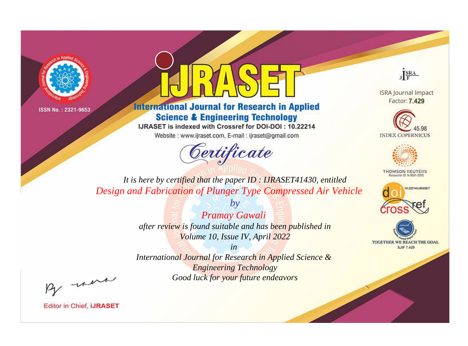



**International Journal for Research in Applied Science & Engineering Technology** 

IJRASET is indexed with Crossref for DOI-DOI: 10.22214

Website: www.ijraset.com, E-mail: ijraset@gmail.com



JERA

**ISRA Journal Impact** Factor: 7.429





**THOMSON REUTERS** 



TOGETHER WE REACH THE GOAL **SJIF 7.429** 

It is here by certified that the paper ID : IJRASET41430, entitled Design and Fabrication of Plunger Type Compressed Air Vehicle

> Pramay Gawali after review is found suitable and has been published in Volume 10, Issue IV, April 2022

 $b\nu$ 

 $in$ International Journal for Research in Applied Science & **Engineering Technology** Good luck for your future endeavors

By morn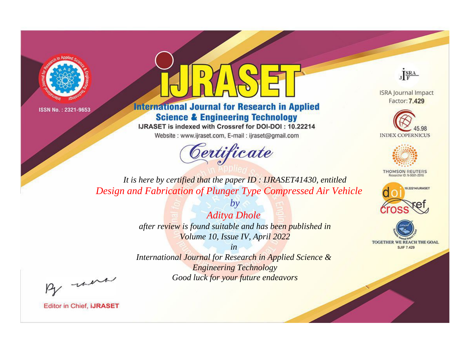



**International Journal for Research in Applied Science & Engineering Technology** 

IJRASET is indexed with Crossref for DOI-DOI: 10.22214

Website: www.ijraset.com, E-mail: ijraset@gmail.com



JERA

**ISRA Journal Impact** Factor: 7.429





**THOMSON REUTERS** 



TOGETHER WE REACH THE GOAL **SJIF 7.429** 

*It is here by certified that the paper ID : IJRASET41430, entitled Design and Fabrication of Plunger Type Compressed Air Vehicle*

> *Aditya Dhole after review is found suitable and has been published in Volume 10, Issue IV, April 2022*

*by*

*in* 

*International Journal for Research in Applied Science & Engineering Technology Good luck for your future endeavors*

By morn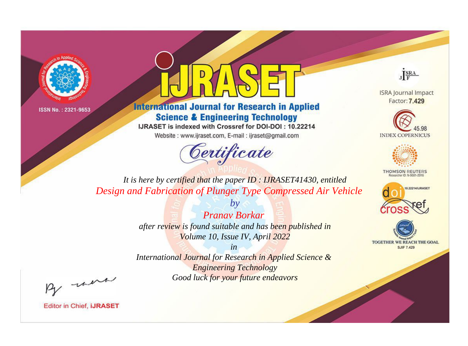



**International Journal for Research in Applied Science & Engineering Technology** 

IJRASET is indexed with Crossref for DOI-DOI: 10.22214

Website: www.ijraset.com, E-mail: ijraset@gmail.com



JERA

**ISRA Journal Impact** Factor: 7.429





**THOMSON REUTERS** 



TOGETHER WE REACH THE GOAL **SJIF 7.429** 

*It is here by certified that the paper ID : IJRASET41430, entitled Design and Fabrication of Plunger Type Compressed Air Vehicle*

*Pranav Borkar* 

*by*

*after review is found suitable and has been published in Volume 10, Issue IV, April 2022*

*in* 

*International Journal for Research in Applied Science & Engineering Technology Good luck for your future endeavors*

By morn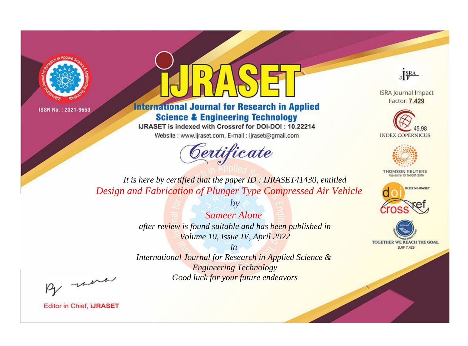



**International Journal for Research in Applied Science & Engineering Technology** 

IJRASET is indexed with Crossref for DOI-DOI: 10.22214

Website: www.ijraset.com, E-mail: ijraset@gmail.com



JERA

**ISRA Journal Impact** Factor: 7.429





**THOMSON REUTERS** 



TOGETHER WE REACH THE GOAL **SJIF 7.429** 

*It is here by certified that the paper ID : IJRASET41430, entitled Design and Fabrication of Plunger Type Compressed Air Vehicle*

> *Sameer Alone after review is found suitable and has been published in Volume 10, Issue IV, April 2022*

*by*

*in* 

*International Journal for Research in Applied Science & Engineering Technology Good luck for your future endeavors*

By morn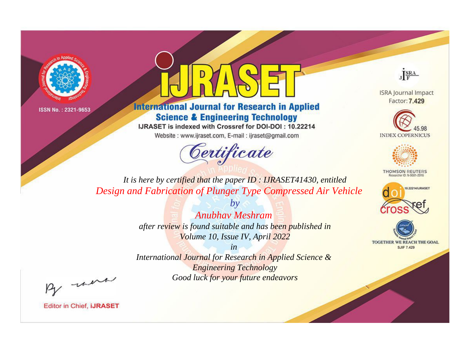



**International Journal for Research in Applied Science & Engineering Technology** 

IJRASET is indexed with Crossref for DOI-DOI: 10.22214

Website: www.ijraset.com, E-mail: ijraset@gmail.com



JERA

**ISRA Journal Impact** Factor: 7.429





**THOMSON REUTERS** 



TOGETHER WE REACH THE GOAL **SJIF 7.429** 

*It is here by certified that the paper ID : IJRASET41430, entitled Design and Fabrication of Plunger Type Compressed Air Vehicle*

> *Anubhav Meshram after review is found suitable and has been published in Volume 10, Issue IV, April 2022*

*by*

*in* 

*International Journal for Research in Applied Science & Engineering Technology Good luck for your future endeavors*

By morn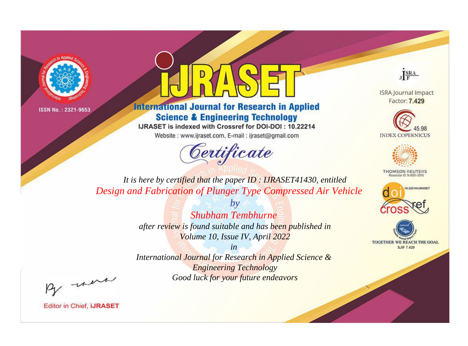



**International Journal for Research in Applied Science & Engineering Technology** 

IJRASET is indexed with Crossref for DOI-DOI: 10.22214

Website: www.ijraset.com, E-mail: ijraset@gmail.com



JERA

**ISRA Journal Impact** Factor: 7.429





**THOMSON REUTERS** 



TOGETHER WE REACH THE GOAL **SJIF 7.429** 

It is here by certified that the paper ID : IJRASET41430, entitled Design and Fabrication of Plunger Type Compressed Air Vehicle

> **Shubham Tembhurne** after review is found suitable and has been published in Volume 10, Issue IV, April 2022

 $b\nu$ 

 $in$ International Journal for Research in Applied Science & **Engineering Technology** Good luck for your future endeavors

By morn